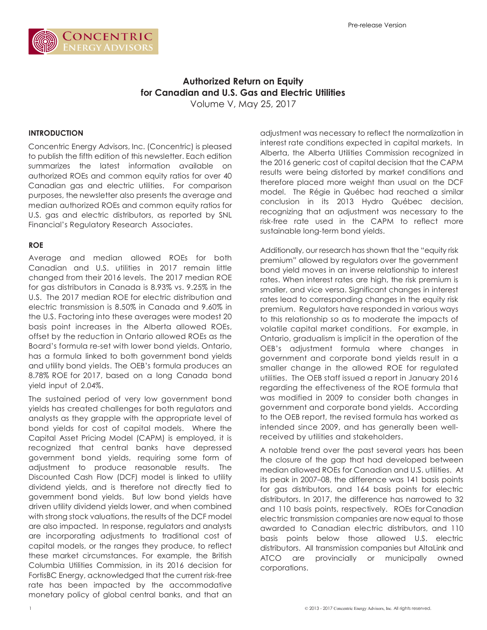

## Authorized Return on Equity for Canadian and U.S. Gas and Electric Utilities Volume V, May 25, 2017

#### **INTRODUCTION**

Concentric Energy Advisors, Inc. (Concentric) is pleased to publish the fifth edition of this newsletter. Each edition summarizes the latest information available on authorized ROEs and common equity ratios for over 40 Canadian gas and electric utilities. For comparison purposes, the newsletter also presents the average and median authorized ROEs and common equity ratios for U.S. gas and electric distributors, as reported by SNL Financial's Regulatory Research Associates.

#### ROE

Average and median allowed ROEs for both Canadian and U.S. utilities in 2017 remain little changed from their 2016 levels. The 2017 median ROE for gas distributors in Canada is 8.93% vs. 9.25% in the U.S. The 2017 median ROE for electric distribution and electric transmission is 8.50% in Canada and 9.60% in the U.S. Factoring into these averages were modest 20 basis point increases in the Alberta allowed ROEs, offset by the reduction in Ontario allowed ROEs as the Board's formula re-set with lower bond yields. Ontario, has a formula linked to both government bond yields and utility bond yields. The OEB's formula produces an 8.78% ROE for 2017, based on a long Canada bond yield input of 2.04%.

The sustained period of very low government bond yields has created challenges for both regulators and analysts as they grapple with the appropriate level of bond yields for cost of capital models. Where the Capital Asset Pricing Model (CAPM) is employed, it is recognized that central banks have depressed government bond yields, requiring some form of adjustment to produce reasonable results. The Discounted Cash Flow (DCF) model is linked to utility dividend yields, and is therefore not directly tied to government bond yields. But low bond yields have driven utility dividend yields lower, and when combined with strong stock valuations, the results of the DCF model are also impacted. In response, regulators and analysts are incorporating adjustments to traditional cost of capital models, or the ranges they produce, to reflect these market circumstances. For example, the British Columbia Utilities Commission, in its 2016 decision for FortisBC Energy, acknowledged that the current risk-free rate has been impacted by the accommodative monetary policy of global central banks, and that an

adjustment was necessary to reflect the normalization in interest rate conditions expected in capital markets. In Alberta, the Alberta Utilities Commission recognized in the 2016 generic cost of capital decision that the CAPM results were being distorted by market conditions and therefore placed more weight than usual on the DCF model. The Régie in Québec had reached a similar conclusion in its 2013 Hydro Québec decision, recognizing that an adjustment was necessary to the risk-free rate used in the CAPM to reflect more sustainable long-term bond yields.

Additionally, our research has shown that the "equity risk premium" allowed by regulators over the government bond yield moves in an inverse relationship to interest rates. When interest rates are high, the risk premium is smaller, and vice versa. Significant changes in interest rates lead to corresponding changes in the equity risk premium. Regulators have responded in various ways to this relationship so as to moderate the impacts of volatile capital market conditions. For example, in Ontario, gradualism is implicit in the operation of the OEB's adjustment formula where changes in government and corporate bond yields result in a smaller change in the allowed ROE for regulated utilities. The OEB staff issued a report in January 2016 regarding the effectiveness of the ROE formula that was modified in 2009 to consider both changes in government and corporate bond yields. According to the OEB report, the revised formula has worked as intended since 2009, and has generally been wellreceived by utilities and stakeholders.

A notable trend over the past several years has been the closure of the gap that had developed between median allowed ROEs for Canadian and U.S. utilities. At its peak in 2007–08, the difference was 141 basis points for gas distributors, and 164 basis points for electric distributors. In 2017, the difference has narrowed to 32 and 110 basis points, respectively. ROEs for Canadian electric transmission companies are now equal to those awarded to Canadian electric distributors, and 110 basis points below those allowed U.S. electric distributors. All transmission companies but AltaLink and ATCO are provincially or municipally owned corporations.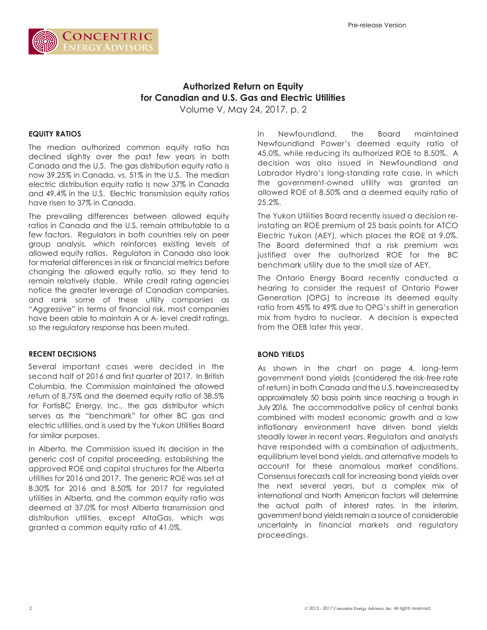

# Authorized Return on Equity for Canadian and U.S. Gas and Electric Utilities Volume V, May 24, 2017, p. 2

### EQUITY RATIOS

The median authorized common equity ratio has declined slightly over the past few years in both Canada and the U.S. The gas distribution equity ratio is now 39.25% in Canada, vs. 51% in the U.S. The median electric distribution equity ratio is now 37% in Canada and 49.4% in the U.S. Electric transmission equity ratios have risen to 37% in Canada.

The prevailing differences between allowed equity ratios in Canada and the U.S. remain attributable to a few factors. Regulators in both countries rely on peer group analysis, which reinforces existing levels of allowed equity ratios. Regulators in Canada also look for material differences in risk or financial metrics before changing the allowed equity ratio, so they tend to remain relatively stable. While credit rating agencies notice the greater leverage of Canadian companies, and rank some of these utility companies as "Aggressive" in terms of financial risk, most companies have been able to maintain A or A- level credit ratings, so the regulatory response has been muted.

### RECENT DECISIONS

Several important cases were decided in the second half of 2016 and first quarter of 2017. In British Columbia, the Commission maintained the allowed return of 8.75% and the deemed equity ratio of 38.5% for FortisBC Energy, Inc., the gas distributor which serves as the "benchmark" for other BC gas and electric utilities, and is used by the Yukon Utilities Board for similar purposes.

In Alberta, the Commission issued its decision in the generic cost of capital proceeding, establishing the approved ROE and capital structures for the Alberta utilities for 2016 and 2017. The generic ROE was set at 8.30% for 2016 and 8.50% for 2017 for regulated utilities in Alberta, and the common equity ratio was deemed at 37.0% for most Alberta transmission and distribution utilities, except AltaGas, which was granted a common equity ratio of 41.0%.

In Newfoundland, the Board maintained Newfoundland Power's deemed equity ratio of 45.0%, while reducing its authorized ROE to 8.50%. A decision was also issued in Newfoundland and Labrador Hydro's long-standing rate case, in which the government-owned utility was granted an allowed ROE of 8.50% and a deemed equity ratio of 25.2%.

The Yukon Utilities Board recently issued a decision reinstating an ROE premium of 25 basis points for ATCO Electric Yukon (AEY), which places the ROE at 9.0%. The Board determined that a risk premium was justified over the authorized ROE for the BC benchmark utility due to the small size of AEY.

The Ontario Energy Board recently conducted a hearing to consider the request of Ontario Power Generation (OPG) to increase its deemed equity ratio from 45% to 49% due to OPG's shift in generation mix from hydro to nuclear. A decision is expected from the OEB later this year.

## BOND YIELDS

As shown in the chart on page 4, long-term government bond yields (considered the risk-free rate of return) in both Canada and the U.S. have increased by approximately 50 basis points since reaching a trough in July 2016. The accommodative policy of central banks combined with modest economic growth and a low inflationary environment have driven bond yields steadily lower in recent years. Regulators and analysts have responded with a combination of adjustments, equilibrium level bond yields, and alternative models to account for these anomalous market conditions. Consensus forecasts call for increasing bond yields over the next several years, but a complex mix of international and North American factors will determine the actual path of interest rates. In the interim, government bond yields remain a source of considerable uncertainty in financial markets and regulatory proceedings.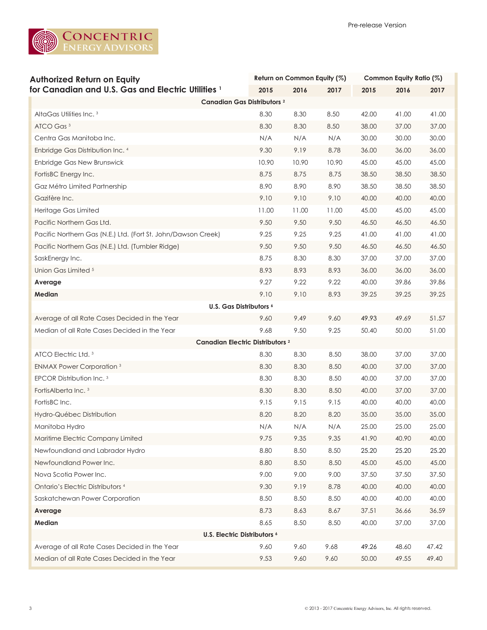

| <b>Authorized Return on Equity</b><br>for Canadian and U.S. Gas and Electric Utilities <sup>1</sup> | Return on Common Equity $(\%)$ |       |       | Common Equity Ratio (%) |       |       |  |  |  |  |  |  |
|-----------------------------------------------------------------------------------------------------|--------------------------------|-------|-------|-------------------------|-------|-------|--|--|--|--|--|--|
|                                                                                                     | 2015                           | 2016  | 2017  | 2015                    | 2016  | 2017  |  |  |  |  |  |  |
| <b>Canadian Gas Distributors 2</b>                                                                  |                                |       |       |                         |       |       |  |  |  |  |  |  |
| AltaGas Utilities Inc. <sup>3</sup>                                                                 | 8.30                           | 8.30  | 8.50  | 42.00                   | 41.00 | 41.00 |  |  |  |  |  |  |
| ATCO Gas <sup>3</sup>                                                                               | 8.30                           | 8.30  | 8.50  | 38.00                   | 37.00 | 37.00 |  |  |  |  |  |  |
| Centra Gas Manitoba Inc.                                                                            | N/A                            | N/A   | N/A   | 30.00                   | 30.00 | 30.00 |  |  |  |  |  |  |
| Enbridge Gas Distribution Inc. 4                                                                    | 9.30                           | 9.19  | 8.78  | 36.00                   | 36.00 | 36.00 |  |  |  |  |  |  |
| <b>Enbridge Gas New Brunswick</b>                                                                   | 10.90                          | 10.90 | 10.90 | 45.00                   | 45.00 | 45.00 |  |  |  |  |  |  |
| FortisBC Energy Inc.                                                                                | 8.75                           | 8.75  | 8.75  | 38.50                   | 38.50 | 38.50 |  |  |  |  |  |  |
| Gaz Métro Limited Partnership                                                                       | 8.90                           | 8.90  | 8.90  | 38.50                   | 38.50 | 38.50 |  |  |  |  |  |  |
| Gazifère Inc.                                                                                       | 9.10                           | 9.10  | 9.10  | 40.00                   | 40.00 | 40.00 |  |  |  |  |  |  |
| Heritage Gas Limited                                                                                | 11.00                          | 11.00 | 11.00 | 45.00                   | 45.00 | 45.00 |  |  |  |  |  |  |
| Pacific Northern Gas Ltd.                                                                           | 9.50                           | 9.50  | 9.50  | 46.50                   | 46.50 | 46.50 |  |  |  |  |  |  |
| Pacific Northern Gas (N.E.) Ltd. (Fort St. John/Dawson Creek)                                       | 9.25                           | 9.25  | 9.25  | 41.00                   | 41.00 | 41.00 |  |  |  |  |  |  |
| Pacific Northern Gas (N.E.) Ltd. (Tumbler Ridge)                                                    | 9.50                           | 9.50  | 9.50  | 46.50                   | 46.50 | 46.50 |  |  |  |  |  |  |
| SaskEnergy Inc.                                                                                     | 8.75                           | 8.30  | 8.30  | 37.00                   | 37.00 | 37.00 |  |  |  |  |  |  |
| Union Gas Limited <sup>5</sup>                                                                      | 8.93                           | 8.93  | 8.93  | 36.00                   | 36.00 | 36.00 |  |  |  |  |  |  |
| Average                                                                                             | 9.27                           | 9.22  | 9.22  | 40.00                   | 39.86 | 39.86 |  |  |  |  |  |  |
| Median                                                                                              | 9.10                           | 9.10  | 8.93  | 39.25                   | 39.25 | 39.25 |  |  |  |  |  |  |
| U.S. Gas Distributors 6                                                                             |                                |       |       |                         |       |       |  |  |  |  |  |  |
| Average of all Rate Cases Decided in the Year                                                       | 9.60                           | 9.49  | 9.60  | 49.93                   | 49.69 | 51.57 |  |  |  |  |  |  |
| Median of all Rate Cases Decided in the Year                                                        | 9.68                           | 9.50  | 9.25  | 50.40                   | 50.00 | 51.00 |  |  |  |  |  |  |
| Canadian Electric Distributors <sup>2</sup>                                                         |                                |       |       |                         |       |       |  |  |  |  |  |  |
| ATCO Electric Ltd. <sup>3</sup>                                                                     | 8.30                           | 8.30  | 8.50  | 38.00                   | 37.00 | 37.00 |  |  |  |  |  |  |
| <b>ENMAX Power Corporation 3</b>                                                                    | 8.30                           | 8.30  | 8.50  | 40.00                   | 37.00 | 37.00 |  |  |  |  |  |  |
| EPCOR Distribution Inc. <sup>3</sup>                                                                | 8.30                           | 8.30  | 8.50  | 40.00                   | 37.00 | 37.00 |  |  |  |  |  |  |
| FortisAlberta Inc. <sup>3</sup>                                                                     | 8.30                           | 8.30  | 8.50  | 40.00                   | 37.00 | 37.00 |  |  |  |  |  |  |
| FortisBC Inc.                                                                                       | 9.15                           | 9.15  | 9.15  | 40.00                   | 40.00 | 40.00 |  |  |  |  |  |  |
| Hydro-Québec Distribution                                                                           | 8.20                           | 8.20  | 8.20  | 35.00                   | 35.00 | 35.00 |  |  |  |  |  |  |
| Manitoba Hydro                                                                                      | N/A                            | N/A   | N/A   | 25.00                   | 25.00 | 25.00 |  |  |  |  |  |  |
| Maritime Electric Company Limited                                                                   | 9.75                           | 9.35  | 9.35  | 41.90                   | 40.90 | 40.00 |  |  |  |  |  |  |
| Newfoundland and Labrador Hydro                                                                     | 8.80                           | 8.50  | 8.50  | 25.20                   | 25.20 | 25.20 |  |  |  |  |  |  |
| Newfoundland Power Inc.                                                                             | 8.80                           | 8.50  | 8.50  | 45.00                   | 45.00 | 45.00 |  |  |  |  |  |  |
| Nova Scotia Power Inc.                                                                              | 9.00                           | 9.00  | 9.00  | 37.50                   | 37.50 | 37.50 |  |  |  |  |  |  |
| Ontario's Electric Distributors <sup>4</sup>                                                        | 9.30                           | 9.19  | 8.78  | 40.00                   | 40.00 | 40.00 |  |  |  |  |  |  |
| Saskatchewan Power Corporation                                                                      | 8.50                           | 8.50  | 8.50  | 40.00                   | 40.00 | 40.00 |  |  |  |  |  |  |
| Average                                                                                             | 8.73                           | 8.63  | 8.67  | 37.51                   | 36.66 | 36.59 |  |  |  |  |  |  |
| Median                                                                                              | 8.65                           | 8.50  | 8.50  | 40.00                   | 37.00 | 37.00 |  |  |  |  |  |  |
| U.S. Electric Distributors 6                                                                        |                                |       |       |                         |       |       |  |  |  |  |  |  |
| Average of all Rate Cases Decided in the Year                                                       | 9.60                           | 9.60  | 9.68  | 49.26                   | 48.60 | 47.42 |  |  |  |  |  |  |
| Median of all Rate Cases Decided in the Year                                                        | 9.53                           | 9.60  | 9.60  | 50.00                   | 49.55 | 49.40 |  |  |  |  |  |  |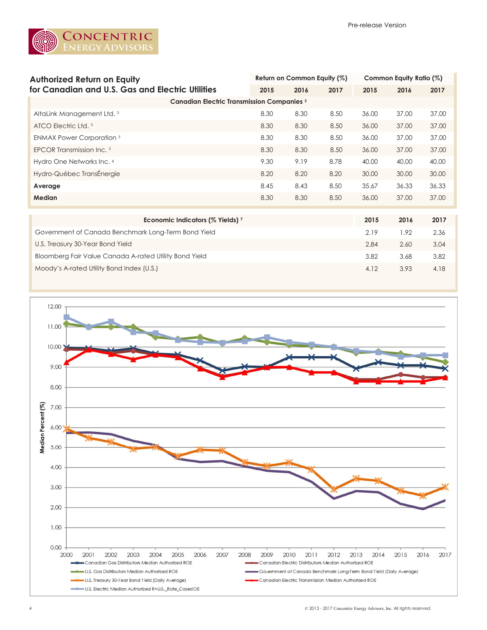

| <b>Authorized Return on Equity</b>                           | Return on Common Equity (%) |      |      | Common Equity Ratio (%) |       |       |  |  |  |  |  |  |
|--------------------------------------------------------------|-----------------------------|------|------|-------------------------|-------|-------|--|--|--|--|--|--|
| for Canadian and U.S. Gas and Electric Utilities             | 2015                        | 2016 | 2017 | 2015                    | 2016  | 2017  |  |  |  |  |  |  |
| <b>Canadian Electric Transmission Companies</b> <sup>2</sup> |                             |      |      |                         |       |       |  |  |  |  |  |  |
| AltaLink Management Ltd. 3                                   | 8.30                        | 8.30 | 8.50 | 36.00                   | 37.00 | 37.00 |  |  |  |  |  |  |
| ATCO Electric Ltd. <sup>3</sup>                              | 8.30                        | 8.30 | 8.50 | 36.00                   | 37.00 | 37.00 |  |  |  |  |  |  |
| <b>ENMAX Power Corporation</b> <sup>3</sup>                  | 8.30                        | 8.30 | 8.50 | 36.00                   | 37.00 | 37.00 |  |  |  |  |  |  |
| EPCOR Transmission Inc. 3                                    | 8.30                        | 8.30 | 8.50 | 36.00                   | 37.00 | 37.00 |  |  |  |  |  |  |
| Hydro One Networks Inc. 4                                    | 9.30                        | 9.19 | 8.78 | 40.00                   | 40.00 | 40.00 |  |  |  |  |  |  |
| Hydro-Québec TransÉnergie                                    | 8.20                        | 8.20 | 8.20 | 30.00                   | 30.00 | 30.00 |  |  |  |  |  |  |
| Average                                                      | 8.45                        | 8.43 | 8.50 | 35.67                   | 36.33 | 36.33 |  |  |  |  |  |  |
| Median                                                       | 8.30                        | 8.30 | 8.50 | 36.00                   | 37.00 | 37.00 |  |  |  |  |  |  |
|                                                              |                             |      |      |                         |       |       |  |  |  |  |  |  |
| Economic Indicators (% Yields) <sup>7</sup>                  |                             |      |      | 2015                    | 2016  | 2017  |  |  |  |  |  |  |
| Government of Canada Benchmark Long-Term Bond Yield          |                             |      |      | 2.19                    | 1.92  | 2.36  |  |  |  |  |  |  |
| U.S. Treasury 30-Year Bond Yield                             |                             |      |      | 2.84                    | 2.60  | 3.04  |  |  |  |  |  |  |
| Bloomberg Fair Value Canada A-rated Utility Bond Yield       |                             |      |      | 3.82                    | 3.68  | 3.82  |  |  |  |  |  |  |
| Moody's A-rated Utility Bond Index (U.S.)                    |                             |      |      | 4.12                    | 3.93  | 4.18  |  |  |  |  |  |  |